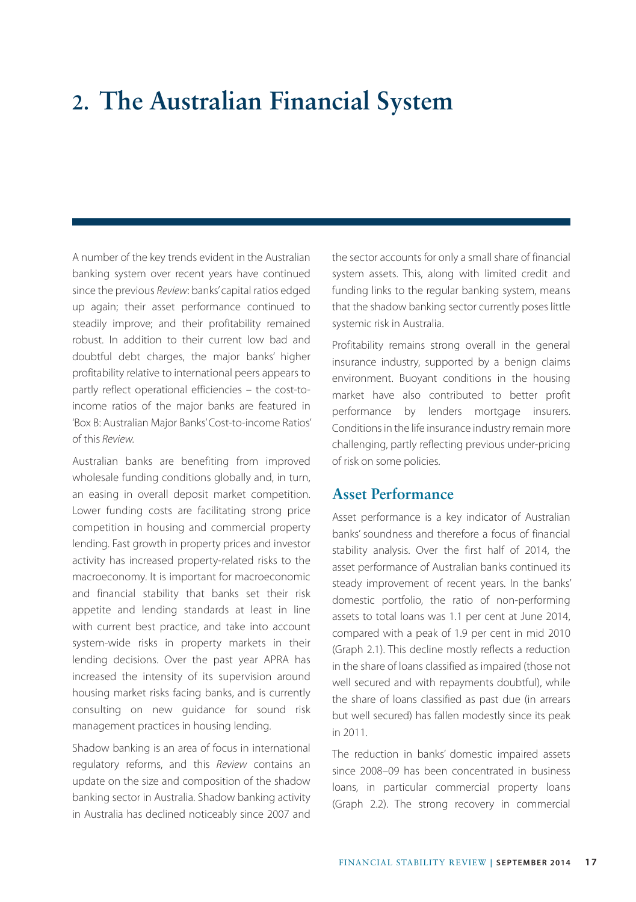# **2. The Australian Financial System**

A number of the key trends evident in the Australian banking system over recent years have continued since the previous *Review*: banks' capital ratios edged up again; their asset performance continued to steadily improve; and their profitability remained robust. In addition to their current low bad and doubtful debt charges, the major banks' higher profitability relative to international peers appears to partly reflect operational efficiencies – the cost-toincome ratios of the major banks are featured in 'Box B: Australian Major Banks' Cost-to-income Ratios' of this *Review.*

Australian banks are benefiting from improved wholesale funding conditions globally and, in turn, an easing in overall deposit market competition. Lower funding costs are facilitating strong price competition in housing and commercial property lending. Fast growth in property prices and investor activity has increased property-related risks to the macroeconomy. It is important for macroeconomic and financial stability that banks set their risk appetite and lending standards at least in line with current best practice, and take into account system-wide risks in property markets in their lending decisions. Over the past year APRA has increased the intensity of its supervision around housing market risks facing banks, and is currently consulting on new guidance for sound risk management practices in housing lending.

Shadow banking is an area of focus in international regulatory reforms, and this *Review* contains an update on the size and composition of the shadow banking sector in Australia. Shadow banking activity in Australia has declined noticeably since 2007 and

the sector accounts for only a small share of financial system assets. This, along with limited credit and funding links to the regular banking system, means that the shadow banking sector currently poses little systemic risk in Australia.

Profitability remains strong overall in the general insurance industry, supported by a benign claims environment. Buoyant conditions in the housing market have also contributed to better profit performance by lenders mortgage insurers. Conditions in the life insurance industry remain more challenging, partly reflecting previous under-pricing of risk on some policies.

### **Asset Performance**

Asset performance is a key indicator of Australian banks' soundness and therefore a focus of financial stability analysis. Over the first half of 2014, the asset performance of Australian banks continued its steady improvement of recent years. In the banks' domestic portfolio, the ratio of non-performing assets to total loans was 1.1 per cent at June 2014, compared with a peak of 1.9 per cent in mid 2010 (Graph 2.1). This decline mostly reflects a reduction in the share of loans classified as impaired (those not well secured and with repayments doubtful), while the share of loans classified as past due (in arrears but well secured) has fallen modestly since its peak in 2011.

The reduction in banks' domestic impaired assets since 2008–09 has been concentrated in business loans, in particular commercial property loans (Graph 2.2). The strong recovery in commercial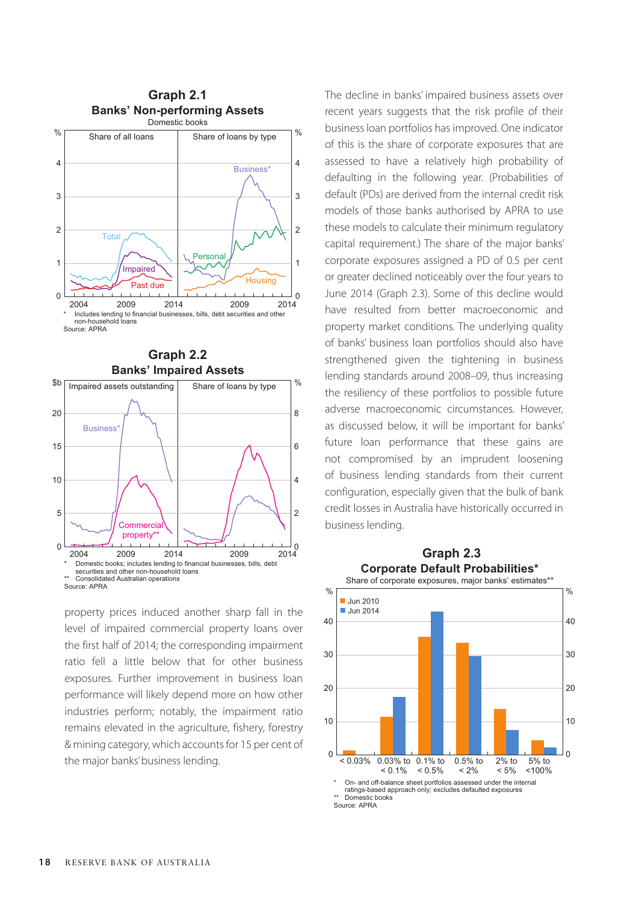



property prices induced another sharp fall in the level of impaired commercial property loans over the first half of 2014; the corresponding impairment ratio fell a little below that for other business exposures. Further improvement in business loan performance will likely depend more on how other industries perform; notably, the impairment ratio remains elevated in the agriculture, fishery, forestry & mining category, which accounts for 15 per cent of the major banks' business lending.

The decline in banks' impaired business assets over recent years suggests that the risk profile of their business loan portfolios has improved. One indicator of this is the share of corporate exposures that are assessed to have a relatively high probability of defaulting in the following year. (Probabilities of default (PDs) are derived from the internal credit risk models of those banks authorised by APRA to use these models to calculate their minimum regulatory capital requirement.) The share of the major banks' corporate exposures assigned a PD of 0.5 per cent or greater declined noticeably over the four years to June 2014 (Graph 2.3). Some of this decline would have resulted from better macroeconomic and property market conditions. The underlying quality of banks' business loan portfolios should also have strengthened given the tightening in business lending standards around 2008–09, thus increasing the resiliency of these portfolios to possible future adverse macroeconomic circumstances. However, as discussed below, it will be important for banks' future loan performance that these gains are not compromised by an imprudent loosening of business lending standards from their current configuration, especially given that the bulk of bank credit losses in Australia have historically occurred in business lending.



Source: APRA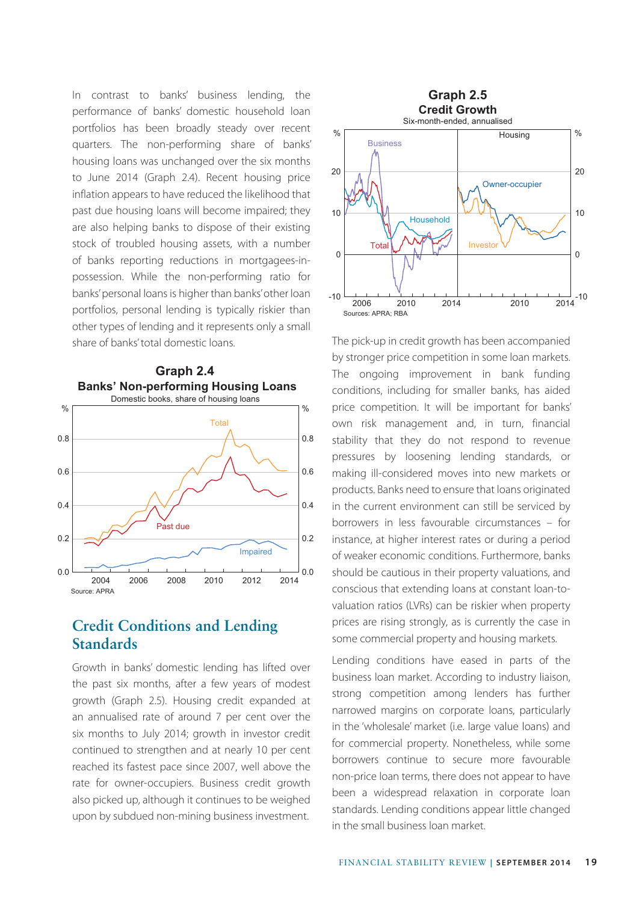In contrast to banks' business lending, the performance of banks' domestic household loan portfolios has been broadly steady over recent quarters. The non-performing share of banks' housing loans was unchanged over the six months to June 2014 (Graph 2.4). Recent housing price inflation appears to have reduced the likelihood that past due housing loans will become impaired; they are also helping banks to dispose of their existing stock of troubled housing assets, with a number of banks reporting reductions in mortgagees-inpossession. While the non-performing ratio for banks' personal loans is higher than banks' other loan portfolios, personal lending is typically riskier than other types of lending and it represents only a small share of banks' total domestic loans.



# **Credit Conditions and Lending Standards**

Growth in banks' domestic lending has lifted over the past six months, after a few years of modest growth (Graph 2.5). Housing credit expanded at an annualised rate of around 7 per cent over the six months to July 2014; growth in investor credit continued to strengthen and at nearly 10 per cent reached its fastest pace since 2007, well above the rate for owner-occupiers. Business credit growth also picked up, although it continues to be weighed upon by subdued non-mining business investment.



The pick-up in credit growth has been accompanied by stronger price competition in some loan markets. The ongoing improvement in bank funding conditions, including for smaller banks, has aided price competition. It will be important for banks' own risk management and, in turn, financial stability that they do not respond to revenue pressures by loosening lending standards, or making ill-considered moves into new markets or products. Banks need to ensure that loans originated in the current environment can still be serviced by borrowers in less favourable circumstances – for instance, at higher interest rates or during a period of weaker economic conditions. Furthermore, banks should be cautious in their property valuations, and conscious that extending loans at constant loan-tovaluation ratios (LVRs) can be riskier when property prices are rising strongly, as is currently the case in some commercial property and housing markets.

Lending conditions have eased in parts of the business loan market. According to industry liaison, strong competition among lenders has further narrowed margins on corporate loans, particularly in the 'wholesale' market (i.e. large value loans) and for commercial property. Nonetheless, while some borrowers continue to secure more favourable non-price loan terms, there does not appear to have been a widespread relaxation in corporate loan standards. Lending conditions appear little changed in the small business loan market.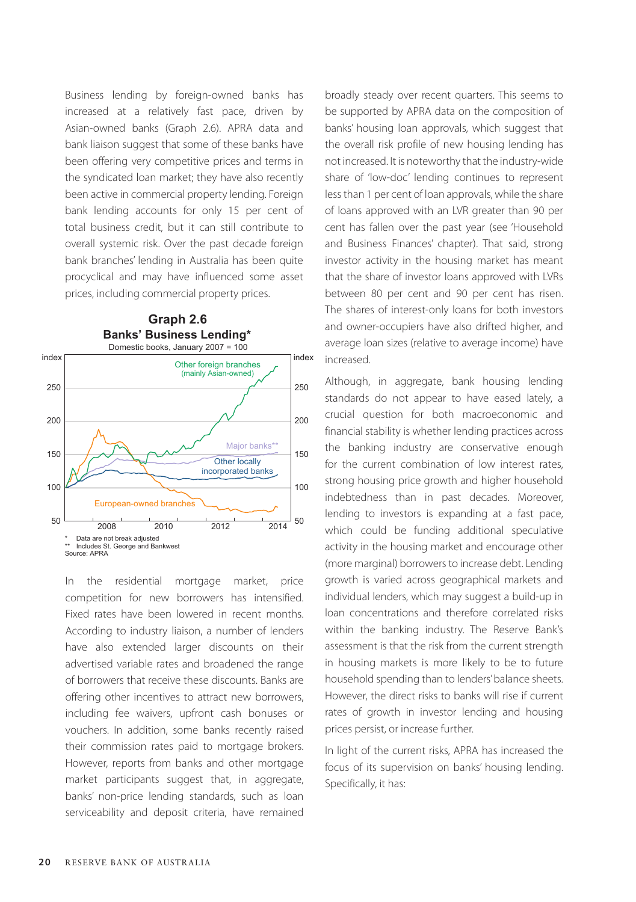Business lending by foreign-owned banks has increased at a relatively fast pace, driven by Asian-owned banks (Graph 2.6). APRA data and bank liaison suggest that some of these banks have been offering very competitive prices and terms in the syndicated loan market; they have also recently been active in commercial property lending. Foreign bank lending accounts for only 15 per cent of total business credit, but it can still contribute to overall systemic risk. Over the past decade foreign bank branches' lending in Australia has been quite procyclical and may have influenced some asset prices, including commercial property prices.



In the residential mortgage market, price competition for new borrowers has intensified. Fixed rates have been lowered in recent months. According to industry liaison, a number of lenders have also extended larger discounts on their advertised variable rates and broadened the range of borrowers that receive these discounts. Banks are offering other incentives to attract new borrowers, including fee waivers, upfront cash bonuses or vouchers. In addition, some banks recently raised their commission rates paid to mortgage brokers. However, reports from banks and other mortgage market participants suggest that, in aggregate, banks' non-price lending standards, such as loan serviceability and deposit criteria, have remained broadly steady over recent quarters. This seems to be supported by APRA data on the composition of banks' housing loan approvals, which suggest that the overall risk profile of new housing lending has not increased. It is noteworthy that the industry-wide share of 'low-doc' lending continues to represent less than 1 per cent of loan approvals, while the share of loans approved with an LVR greater than 90 per cent has fallen over the past year (see 'Household and Business Finances' chapter). That said, strong investor activity in the housing market has meant that the share of investor loans approved with LVRs between 80 per cent and 90 per cent has risen. The shares of interest-only loans for both investors and owner-occupiers have also drifted higher, and average loan sizes (relative to average income) have increased.

Although, in aggregate, bank housing lending standards do not appear to have eased lately, a crucial question for both macroeconomic and financial stability is whether lending practices across the banking industry are conservative enough for the current combination of low interest rates, strong housing price growth and higher household indebtedness than in past decades. Moreover, lending to investors is expanding at a fast pace, which could be funding additional speculative activity in the housing market and encourage other (more marginal) borrowers to increase debt. Lending growth is varied across geographical markets and individual lenders, which may suggest a build-up in loan concentrations and therefore correlated risks within the banking industry. The Reserve Bank's assessment is that the risk from the current strength in housing markets is more likely to be to future household spending than to lenders' balance sheets. However, the direct risks to banks will rise if current rates of growth in investor lending and housing prices persist, or increase further.

In light of the current risks, APRA has increased the focus of its supervision on banks' housing lending. Specifically, it has: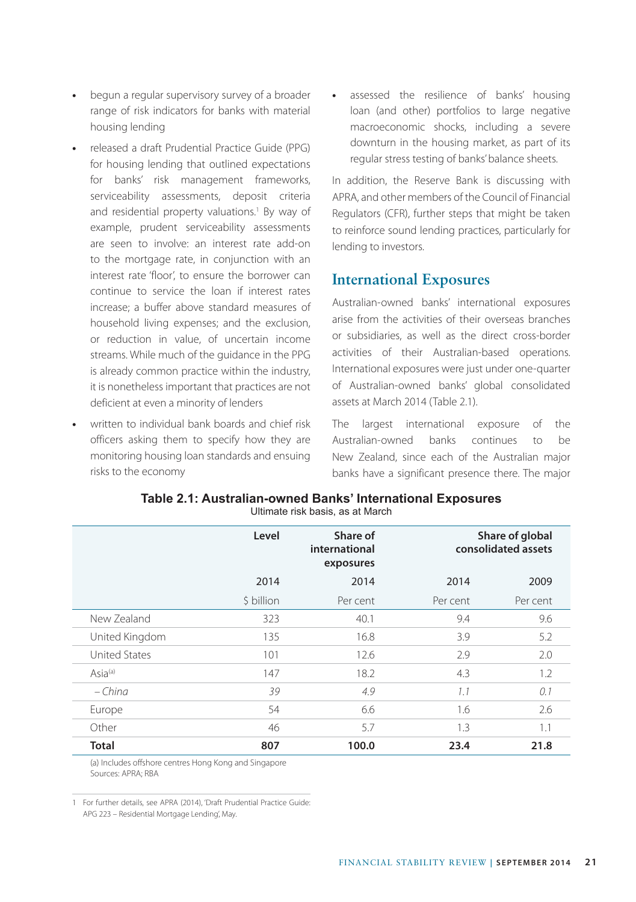- **•** begun a regular supervisory survey of a broader range of risk indicators for banks with material housing lending
- **•** released a draft Prudential Practice Guide (PPG) for housing lending that outlined expectations for banks' risk management frameworks, serviceability assessments, deposit criteria and residential property valuations.<sup>1</sup> By way of example, prudent serviceability assessments are seen to involve: an interest rate add-on to the mortgage rate, in conjunction with an interest rate 'floor', to ensure the borrower can continue to service the loan if interest rates increase; a buffer above standard measures of household living expenses; and the exclusion, or reduction in value, of uncertain income streams. While much of the guidance in the PPG is already common practice within the industry, it is nonetheless important that practices are not deficient at even a minority of lenders
- **•** written to individual bank boards and chief risk officers asking them to specify how they are monitoring housing loan standards and ensuing risks to the economy

**•** assessed the resilience of banks' housing loan (and other) portfolios to large negative macroeconomic shocks, including a severe downturn in the housing market, as part of its regular stress testing of banks' balance sheets.

In addition, the Reserve Bank is discussing with APRA, and other members of the Council of Financial Regulators (CFR), further steps that might be taken to reinforce sound lending practices, particularly for lending to investors.

## **International Exposures**

Australian-owned banks' international exposures arise from the activities of their overseas branches or subsidiaries, as well as the direct cross-border activities of their Australian-based operations. International exposures were just under one-quarter of Australian-owned banks' global consolidated assets at March 2014 (Table 2.1).

The largest international exposure of the Australian-owned banks continues to be New Zealand, since each of the Australian major banks have a significant presence there. The major

|                      | Level      | Share of<br>international<br>exposures | Share of global<br>consolidated assets |          |
|----------------------|------------|----------------------------------------|----------------------------------------|----------|
|                      | 2014       | 2014                                   | 2014                                   | 2009     |
|                      | \$ billion | Per cent                               | Per cent                               | Per cent |
| New Zealand          | 323        | 40.1                                   | 9.4                                    | 9.6      |
| United Kingdom       | 135        | 16.8                                   | 3.9                                    | 5.2      |
| <b>United States</b> | 101        | 12.6                                   | 2.9                                    | 2.0      |
| Asia <sup>(a)</sup>  | 147        | 18.2                                   | 4.3                                    | 1.2      |
| $-China$             | 39         | 4.9                                    | 1.1                                    | 0.1      |
| Europe               | 54         | 6.6                                    | 1.6                                    | 2.6      |
| Other                | 46         | 5.7                                    | 1.3                                    | 1.1      |
| <b>Total</b>         | 807        | 100.0                                  | 23.4                                   | 21.8     |

**Table 2.1: Australian-owned Banks' International Exposures** Ultimate risk basis, as at March

(a) Includes offshore centres Hong Kong and Singapore Sources: APRA; RBA

1 For further details, see APRA (2014), 'Draft Prudential Practice Guide: APG 223 – Residential Mortgage Lending', May.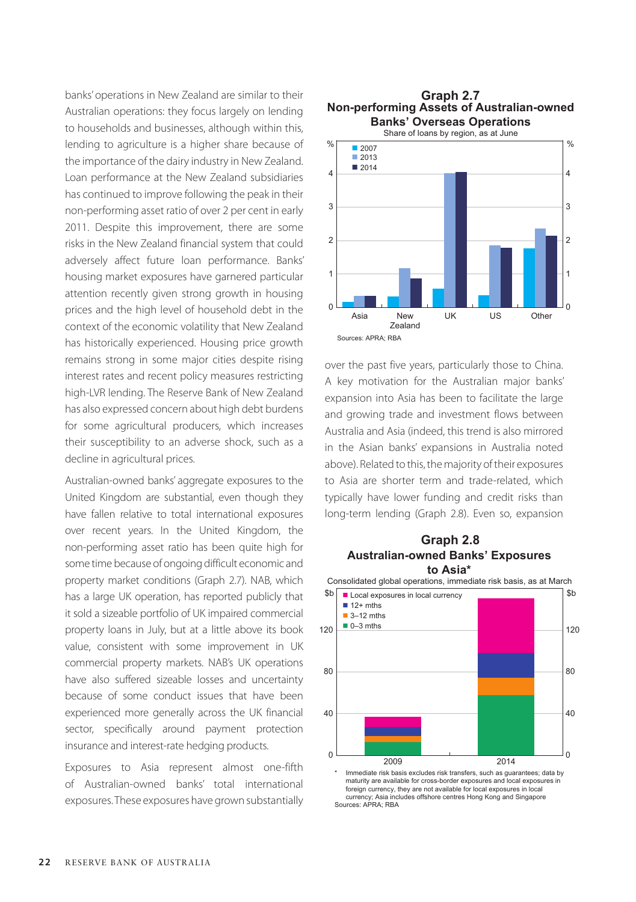banks' operations in New Zealand are similar to their Australian operations: they focus largely on lending to households and businesses, although within this, lending to agriculture is a higher share because of the importance of the dairy industry in New Zealand. Loan performance at the New Zealand subsidiaries has continued to improve following the peak in their non-performing asset ratio of over 2 per cent in early 2011. Despite this improvement, there are some risks in the New Zealand financial system that could adversely affect future loan performance. Banks' housing market exposures have garnered particular attention recently given strong growth in housing prices and the high level of household debt in the context of the economic volatility that New Zealand has historically experienced. Housing price growth remains strong in some major cities despite rising interest rates and recent policy measures restricting high-LVR lending. The Reserve Bank of New Zealand has also expressed concern about high debt burdens for some agricultural producers, which increases their susceptibility to an adverse shock, such as a decline in agricultural prices.

Australian-owned banks' aggregate exposures to the United Kingdom are substantial, even though they have fallen relative to total international exposures over recent years. In the United Kingdom, the non-performing asset ratio has been quite high for some time because of ongoing difficult economic and property market conditions (Graph 2.7). NAB, which has a large UK operation, has reported publicly that it sold a sizeable portfolio of UK impaired commercial property loans in July, but at a little above its book value, consistent with some improvement in UK commercial property markets. NAB's UK operations have also suffered sizeable losses and uncertainty because of some conduct issues that have been experienced more generally across the UK financial sector, specifically around payment protection insurance and interest-rate hedging products.

Exposures to Asia represent almost one-fifth of Australian-owned banks' total international exposures. These exposures have grown substantially

#### **Non-performing Assets of Australian-owned Banks' Overseas Operations Graph 2.7**



over the past five years, particularly those to China. A key motivation for the Australian major banks' expansion into Asia has been to facilitate the large and growing trade and investment flows between Australia and Asia (indeed, this trend is also mirrored in the Asian banks' expansions in Australia noted above). Related to this, the majority of their exposures to Asia are shorter term and trade-related, which typically have lower funding and credit risks than long-term lending (Graph 2.8). Even so, expansion

#### **Australian-owned Banks' Exposures to Asia\* Graph 2.8**



maturity are available for cross-border exposures and local exposures in foreign currency, they are not available for local exposures in local currency; Asia includes offshore centres Hong Kong and Singapore Sources: APRA; RBA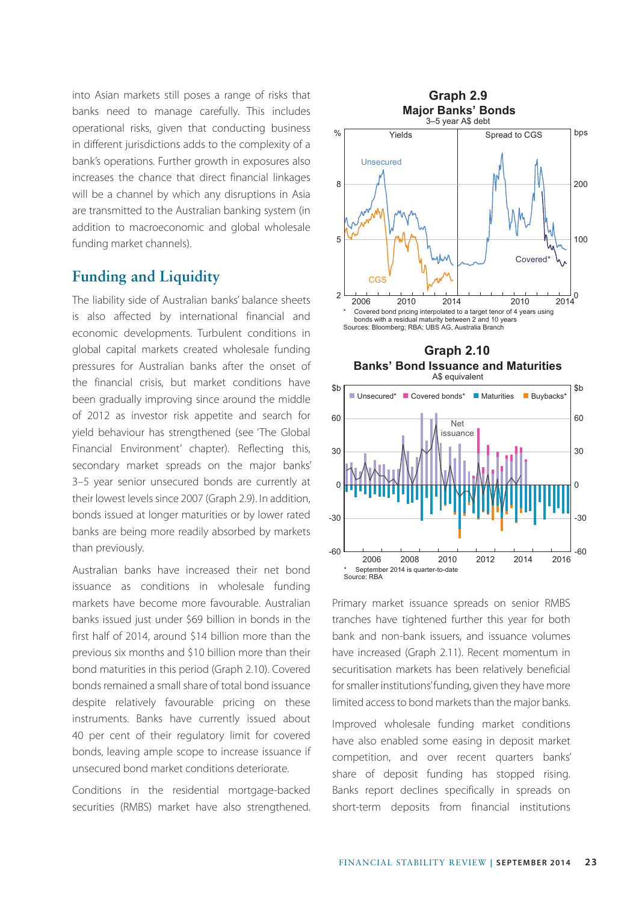into Asian markets still poses a range of risks that **Graph 2.9** banks need to manage carefully. This includes operational risks, given that conducting business in different jurisdictions adds to the complexity of a bank's operations. Further growth in exposures also increases the chance that direct financial linkages will be a channel by which any disruptions in Asia are transmitted to the Australian banking system (in addition to macroeconomic and global wholesale funding market channels).

# **Funding and Liquidity**

The liability side of Australian banks' balance sheets is also affected by international financial and economic developments. Turbulent conditions in global capital markets created wholesale funding pressures for Australian banks after the onset of the financial crisis, but market conditions have been gradually improving since around the middle of 2012 as investor risk appetite and search for yield behaviour has strengthened (see 'The Global Financial Environment' chapter). Reflecting this, secondary market spreads on the major banks' 3–5 year senior unsecured bonds are currently at their lowest levels since 2007 (Graph 2.9). In addition, bonds issued at longer maturities or by lower rated banks are being more readily absorbed by markets than previously.

Australian banks have increased their net bond issuance as conditions in wholesale funding markets have become more favourable. Australian banks issued just under \$69 billion in bonds in the first half of 2014, around \$14 billion more than the previous six months and \$10 billion more than their bond maturities in this period (Graph 2.10). Covered bonds remained a small share of total bond issuance despite relatively favourable pricing on these instruments. Banks have currently issued about 40 per cent of their regulatory limit for covered bonds, leaving ample scope to increase issuance if unsecured bond market conditions deteriorate.

Conditions in the residential mortgage-backed securities (RMBS) market have also strengthened.





Primary market issuance spreads on senior RMBS tranches have tightened further this year for both bank and non-bank issuers, and issuance volumes have increased (Graph 2.11). Recent momentum in securitisation markets has been relatively beneficial for smaller institutions' funding, given they have more limited access to bond markets than the major banks.

Improved wholesale funding market conditions have also enabled some easing in deposit market competition, and over recent quarters banks' share of deposit funding has stopped rising. Banks report declines specifically in spreads on short-term deposits from financial institutions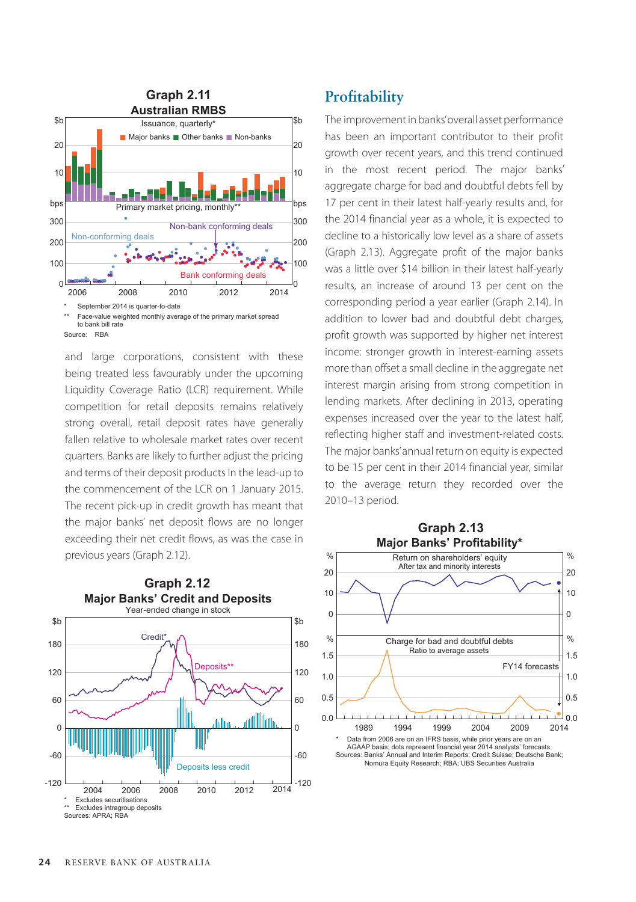

and large corporations, consistent with these being treated less favourably under the upcoming Liquidity Coverage Ratio (LCR) requirement. While competition for retail deposits remains relatively strong overall, retail deposit rates have generally fallen relative to wholesale market rates over recent quarters. Banks are likely to further adjust the pricing and terms of their deposit products in the lead-up to the commencement of the LCR on 1 January 2015. The recent pick-up in credit growth has meant that the major banks' net deposit flows are no longer exceeding their net credit flows, as was the case in previous years (Graph 2.12).



# **Profitability**

The improvement in banks' overall asset performance has been an important contributor to their profit growth over recent years, and this trend continued in the most recent period. The major banks' aggregate charge for bad and doubtful debts fell by 17 per cent in their latest half-yearly results and, for the 2014 financial year as a whole, it is expected to decline to a historically low level as a share of assets (Graph 2.13). Aggregate profit of the major banks was a little over \$14 billion in their latest half-yearly results, an increase of around 13 per cent on the corresponding period a year earlier (Graph 2.14). In addition to lower bad and doubtful debt charges, profit growth was supported by higher net interest income: stronger growth in interest-earning assets more than offset a small decline in the aggregate net interest margin arising from strong competition in lending markets. After declining in 2013, operating expenses increased over the year to the latest half, reflecting higher staff and investment-related costs. The major banks' annual return on equity is expected to be 15 per cent in their 2014 financial year, similar to the average return they recorded over the 2010–13 period.

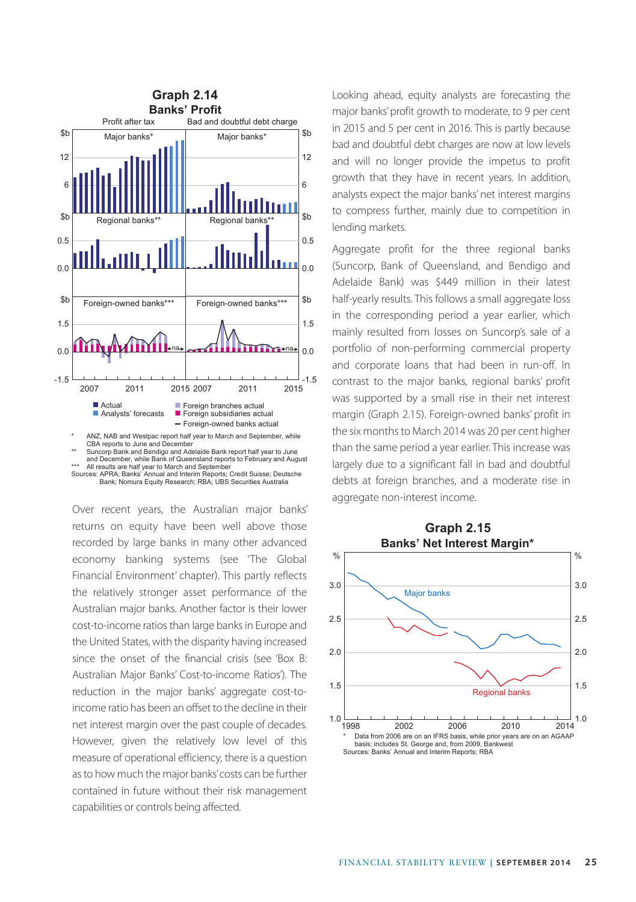

and December, while Bank of Queensland reports to February and August \*\*\* All results are half year to March and September Sources: APRA; Banks' Annual and Interim Reports; Credit Suisse; Deutsche Bank; Nomura Equity Research; RBA; UBS Securities Australia

Over recent years, the Australian major banks' returns on equity have been well above those recorded by large banks in many other advanced economy banking systems (see 'The Global Financial Environment' chapter). This partly reflects the relatively stronger asset performance of the Australian major banks. Another factor is their lower cost-to-income ratios than large banks in Europe and the United States, with the disparity having increased since the onset of the financial crisis (see 'Box B: Australian Major Banks' Cost-to-income Ratios'). The reduction in the major banks' aggregate cost-toincome ratio has been an offset to the decline in their net interest margin over the past couple of decades. However, given the relatively low level of this measure of operational efficiency, there is a question as to how much the major banks' costs can be further contained in future without their risk management capabilities or controls being affected.

**Graph 2.14** Looking ahead, equity analysts are forecasting the major banks' profit growth to moderate, to 9 per cent in 2015 and 5 per cent in 2016. This is partly because bad and doubtful debt charges are now at low levels and will no longer provide the impetus to profit growth that they have in recent years. In addition, analysts expect the major banks' net interest margins to compress further, mainly due to competition in lending markets.

> Aggregate profit for the three regional banks (Suncorp, Bank of Queensland, and Bendigo and Adelaide Bank) was \$449 million in their latest half-yearly results. This follows a small aggregate loss in the corresponding period a year earlier, which mainly resulted from losses on Suncorp's sale of a portfolio of non-performing commercial property and corporate loans that had been in run-off. In contrast to the major banks, regional banks' profit was supported by a small rise in their net interest margin (Graph 2.15). Foreign-owned banks' profit in the six months to March 2014 was 20 per cent higher than the same period a year earlier. This increase was largely due to a significant fall in bad and doubtful debts at foreign branches, and a moderate rise in aggregate non-interest income.

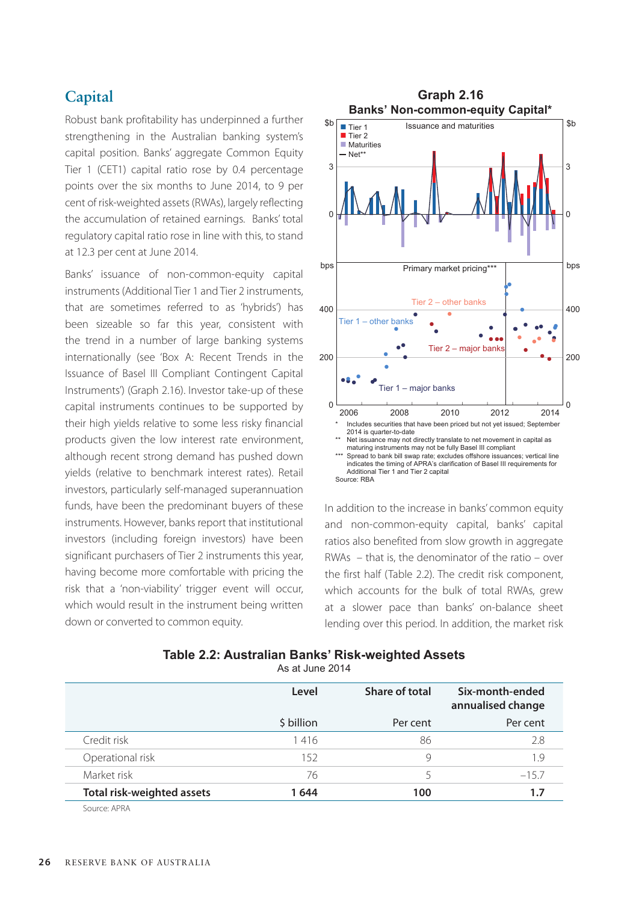# **Capital**

Robust bank profitability has underpinned a further strengthening in the Australian banking system's capital position. Banks' aggregate Common Equity Tier 1 (CET1) capital ratio rose by 0.4 percentage points over the six months to June 2014, to 9 per cent of risk-weighted assets (RWAs), largely reflecting the accumulation of retained earnings. Banks' total regulatory capital ratio rose in line with this, to stand at 12.3 per cent at June 2014.

Banks' issuance of non-common-equity capital instruments (Additional Tier 1 and Tier 2 instruments, that are sometimes referred to as 'hybrids') has been sizeable so far this year, consistent with the trend in a number of large banking systems internationally (see 'Box A: Recent Trends in the Issuance of Basel III Compliant Contingent Capital Instruments') (Graph 2.16). Investor take-up of these capital instruments continues to be supported by their high yields relative to some less risky financial products given the low interest rate environment, although recent strong demand has pushed down yields (relative to benchmark interest rates). Retail investors, particularly self-managed superannuation funds, have been the predominant buyers of these instruments. However, banks report that institutional investors (including foreign investors) have been significant purchasers of Tier 2 instruments this year, having become more comfortable with pricing the risk that a 'non-viability' trigger event will occur, which would result in the instrument being written down or converted to common equity.



In addition to the increase in banks' common equity and non-common-equity capital, banks' capital ratios also benefited from slow growth in aggregate RWAs – that is, the denominator of the ratio – over the first half (Table 2.2). The credit risk component, which accounts for the bulk of total RWAs, grew at a slower pace than banks' on-balance sheet lending over this period. In addition, the market risk

| Table 2.2: Australian Banks' Risk-weighted Assets |                                                                                                                                                                                                                                                                                                                                                                                                     |  |  |
|---------------------------------------------------|-----------------------------------------------------------------------------------------------------------------------------------------------------------------------------------------------------------------------------------------------------------------------------------------------------------------------------------------------------------------------------------------------------|--|--|
|                                                   | $\ddot{\phantom{a}}$ $\ddot{\phantom{a}}$ $\ddot{\phantom{a}}$ $\ddot{\phantom{a}}$ $\ddot{\phantom{a}}$ $\ddot{\phantom{a}}$ $\ddot{\phantom{a}}$ $\ddot{\phantom{a}}$ $\ddot{\phantom{a}}$ $\ddot{\phantom{a}}$ $\ddot{\phantom{a}}$ $\ddot{\phantom{a}}$ $\ddot{\phantom{a}}$ $\ddot{\phantom{a}}$ $\ddot{\phantom{a}}$ $\ddot{\phantom{a}}$ $\ddot{\phantom{a}}$ $\ddot{\phantom{a}}$ $\ddot{\$ |  |  |

|  | As at June 2014 |  |
|--|-----------------|--|
|--|-----------------|--|

|                            | Level      | Share of total | Six-month-ended<br>annualised change |
|----------------------------|------------|----------------|--------------------------------------|
|                            | \$ billion | Per cent       | Per cent                             |
| Credit risk                | 1416       | 86             | 2.8                                  |
| Operational risk           | 152        | 9              | 1.9                                  |
| Market risk                | 76         | ↖              | $-15.7$                              |
| Total risk-weighted assets | 1644       | 100            | 1.7                                  |

Source: APRA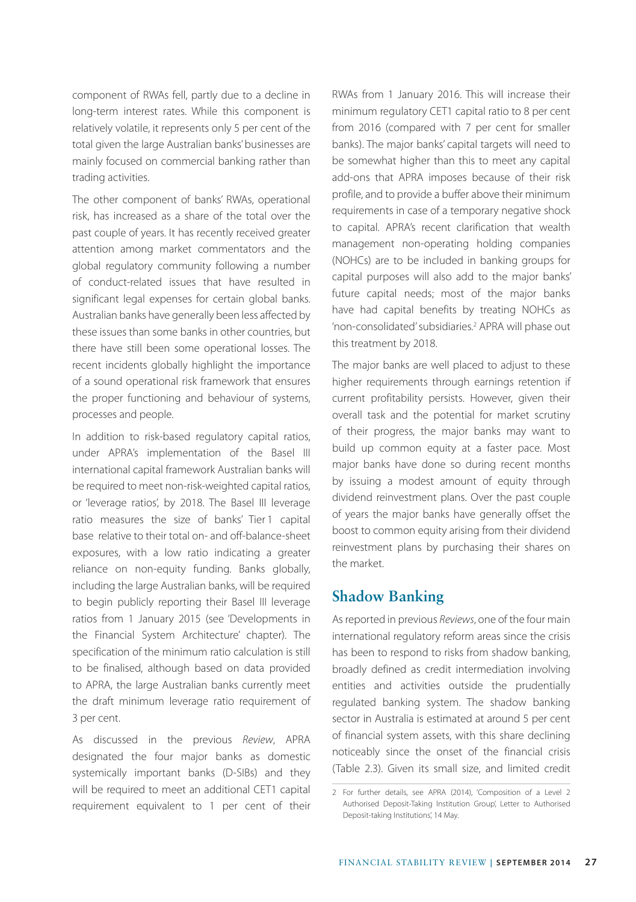component of RWAs fell, partly due to a decline in long-term interest rates. While this component is relatively volatile, it represents only 5 per cent of the total given the large Australian banks' businesses are mainly focused on commercial banking rather than trading activities.

The other component of banks' RWAs, operational risk, has increased as a share of the total over the past couple of years. It has recently received greater attention among market commentators and the global regulatory community following a number of conduct-related issues that have resulted in significant legal expenses for certain global banks. Australian banks have generally been less affected by these issues than some banks in other countries, but there have still been some operational losses. The recent incidents globally highlight the importance of a sound operational risk framework that ensures the proper functioning and behaviour of systems, processes and people.

In addition to risk-based regulatory capital ratios, under APRA's implementation of the Basel III international capital framework Australian banks will be required to meet non-risk-weighted capital ratios, or 'leverage ratios', by 2018. The Basel III leverage ratio measures the size of banks' Tier 1 capital base relative to their total on- and off-balance-sheet exposures, with a low ratio indicating a greater reliance on non-equity funding. Banks globally, including the large Australian banks, will be required to begin publicly reporting their Basel III leverage ratios from 1 January 2015 (see 'Developments in the Financial System Architecture' chapter). The specification of the minimum ratio calculation is still to be finalised, although based on data provided to APRA, the large Australian banks currently meet the draft minimum leverage ratio requirement of 3 per cent.

As discussed in the previous *Review*, APRA designated the four major banks as domestic systemically important banks (D-SIBs) and they will be required to meet an additional CET1 capital requirement equivalent to 1 per cent of their RWAs from 1 January 2016. This will increase their minimum regulatory CET1 capital ratio to 8 per cent from 2016 (compared with 7 per cent for smaller banks). The major banks' capital targets will need to be somewhat higher than this to meet any capital add-ons that APRA imposes because of their risk profile, and to provide a buffer above their minimum requirements in case of a temporary negative shock to capital. APRA's recent clarification that wealth management non-operating holding companies (NOHCs) are to be included in banking groups for capital purposes will also add to the major banks' future capital needs; most of the major banks have had capital benefits by treating NOHCs as 'non-consolidated' subsidiaries.2 APRA will phase out this treatment by 2018.

The major banks are well placed to adjust to these higher requirements through earnings retention if current profitability persists. However, given their overall task and the potential for market scrutiny of their progress, the major banks may want to build up common equity at a faster pace. Most major banks have done so during recent months by issuing a modest amount of equity through dividend reinvestment plans. Over the past couple of years the major banks have generally offset the boost to common equity arising from their dividend reinvestment plans by purchasing their shares on the market.

### **Shadow Banking**

As reported in previous *Reviews*, one of the four main international regulatory reform areas since the crisis has been to respond to risks from shadow banking, broadly defined as credit intermediation involving entities and activities outside the prudentially regulated banking system. The shadow banking sector in Australia is estimated at around 5 per cent of financial system assets, with this share declining noticeably since the onset of the financial crisis (Table 2.3). Given its small size, and limited credit

<sup>2</sup> For further details, see APRA (2014), 'Composition of a Level 2 Authorised Deposit-Taking Institution Group', Letter to Authorised Deposit-taking Institutions', 14 May.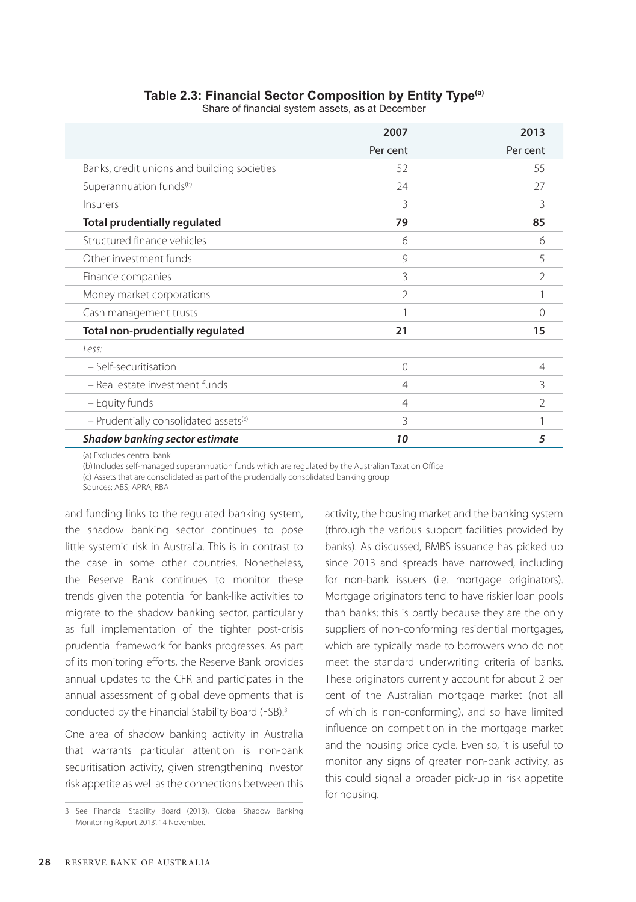# **2007 2013** Per cent Per cent Banks, credit unions and building societies 52 55 Superannuation funds(b) 24 27 Insurers 3 3 **Total prudentially regulated 79 85** Structured finance vehicles 6 6 Other investment funds and state of the state of the state of the state of the state of the state of the state of the state of the state of the state of the state of the state of the state of the state of the state of the Finance companies and the set of the set of the set of the set of the set of the set of the set of the set of the set of the set of the set of the set of the set of the set of the set of the set of the set of the set of th Money market corporations and the state of the state of the state of the state of the state of the state of the state of the state of the state of the state of the state of the state of the state of the state of the state Cash management trusts and the control of the control of the control of the control of the control of the control of the control of the control of the control of the control of the control of the control of the control of **Total non-prudentially regulated 21 15** *Less:* – Self-securitisation 0 4 – Real estate investment funds 4 3 – Equity funds 4 2 – Prudentially consolidated assets(c) 3 1 *Shadow banking sector estimate 10 5*

### **Table 2.3: Financial Sector Composition by Entity Type(a)**

Share of financial system assets, as at December

(a) Excludes central bank

(b) Includes self-managed superannuation funds which are regulated by the Australian Taxation Office

(c) Assets that are consolidated as part of the prudentially consolidated banking group

Sources: ABS; APRA; RBA

and funding links to the regulated banking system, the shadow banking sector continues to pose little systemic risk in Australia. This is in contrast to the case in some other countries. Nonetheless, the Reserve Bank continues to monitor these trends given the potential for bank-like activities to migrate to the shadow banking sector, particularly as full implementation of the tighter post-crisis prudential framework for banks progresses. As part of its monitoring efforts, the Reserve Bank provides annual updates to the CFR and participates in the annual assessment of global developments that is conducted by the Financial Stability Board (FSB).3

One area of shadow banking activity in Australia that warrants particular attention is non-bank securitisation activity, given strengthening investor risk appetite as well as the connections between this activity, the housing market and the banking system (through the various support facilities provided by banks). As discussed, RMBS issuance has picked up since 2013 and spreads have narrowed, including for non-bank issuers (i.e. mortgage originators). Mortgage originators tend to have riskier loan pools than banks; this is partly because they are the only suppliers of non-conforming residential mortgages, which are typically made to borrowers who do not meet the standard underwriting criteria of banks. These originators currently account for about 2 per cent of the Australian mortgage market (not all of which is non-conforming), and so have limited influence on competition in the mortgage market and the housing price cycle. Even so, it is useful to monitor any signs of greater non-bank activity, as this could signal a broader pick-up in risk appetite for housing.

<sup>3</sup> See Financial Stability Board (2013), 'Global Shadow Banking Monitoring Report 2013', 14 November.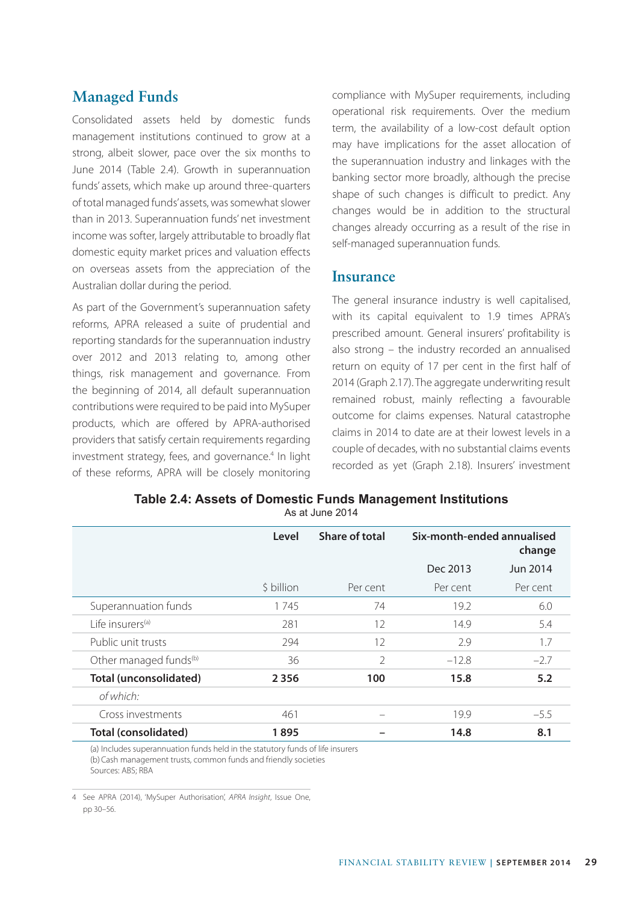# **Managed Funds**

Consolidated assets held by domestic funds management institutions continued to grow at a strong, albeit slower, pace over the six months to June 2014 (Table 2.4). Growth in superannuation funds' assets, which make up around three-quarters of total managed funds' assets, was somewhat slower than in 2013. Superannuation funds' net investment income was softer, largely attributable to broadly flat domestic equity market prices and valuation effects on overseas assets from the appreciation of the Australian dollar during the period.

As part of the Government's superannuation safety reforms, APRA released a suite of prudential and reporting standards for the superannuation industry over 2012 and 2013 relating to, among other things, risk management and governance. From the beginning of 2014, all default superannuation contributions were required to be paid into MySuper products, which are offered by APRA-authorised providers that satisfy certain requirements regarding investment strategy, fees, and governance.<sup>4</sup> In light of these reforms, APRA will be closely monitoring compliance with MySuper requirements, including operational risk requirements. Over the medium term, the availability of a low-cost default option may have implications for the asset allocation of the superannuation industry and linkages with the banking sector more broadly, although the precise shape of such changes is difficult to predict. Any changes would be in addition to the structural changes already occurring as a result of the rise in self-managed superannuation funds.

### **Insurance**

The general insurance industry is well capitalised, with its capital equivalent to 1.9 times APRA's prescribed amount. General insurers' profitability is also strong – the industry recorded an annualised return on equity of 17 per cent in the first half of 2014 (Graph 2.17). The aggregate underwriting result remained robust, mainly reflecting a favourable outcome for claims expenses. Natural catastrophe claims in 2014 to date are at their lowest levels in a couple of decades, with no substantial claims events recorded as yet (Graph 2.18). Insurers' investment

| Table 2.4: Assets of Domestic Funds Management Institutions |  |
|-------------------------------------------------------------|--|
| As at June 2014                                             |  |

|                                    | Level      | Share of total           | Six-month-ended annualised<br>change |          |
|------------------------------------|------------|--------------------------|--------------------------------------|----------|
|                                    |            |                          | Dec 2013                             | Jun 2014 |
|                                    | \$ billion | Per cent                 | Per cent                             | Per cent |
| Superannuation funds               | 1745       | 74                       | 19.2                                 | 6.0      |
| l ife insurers <sup>(a)</sup>      | 281        | 12                       | 14.9                                 | 5.4      |
| Public unit trusts                 | 294        | 12                       | 2.9                                  | 1.7      |
| Other managed funds <sup>(b)</sup> | 36         | $\mathfrak{D}$           | $-12.8$                              | $-2.7$   |
| Total (unconsolidated)             | 2356       | 100                      | 15.8                                 | 5.2      |
| of which:                          |            |                          |                                      |          |
| Cross investments                  | 461        | $\overline{\phantom{a}}$ | 19.9                                 | $-5.5$   |
| Total (consolidated)               | 1895       |                          | 14.8                                 | 8.1      |

(a) Includes superannuation funds held in the statutory funds of life insurers (b)Cash management trusts, common funds and friendly societies Sources: ABS; RBA

4 See APRA (2014), 'MySuper Authorisation', *APRA Insight*, Issue One, pp 30–56.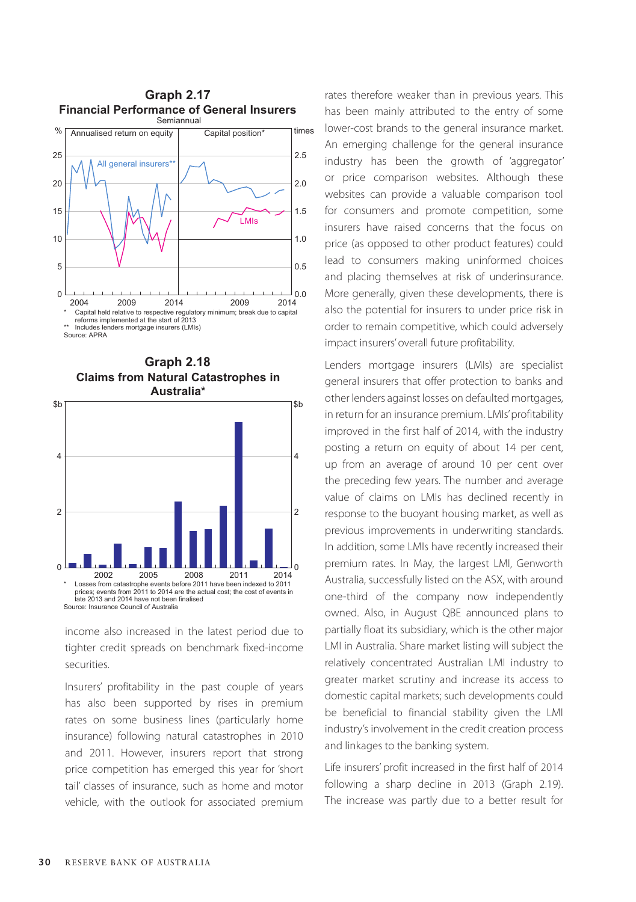



income also increased in the latest period due to tighter credit spreads on benchmark fixed-income securities.

Insurers' profitability in the past couple of years has also been supported by rises in premium rates on some business lines (particularly home insurance) following natural catastrophes in 2010 and 2011. However, insurers report that strong price competition has emerged this year for 'short tail' classes of insurance, such as home and motor vehicle, with the outlook for associated premium rates therefore weaker than in previous years. This has been mainly attributed to the entry of some lower-cost brands to the general insurance market. An emerging challenge for the general insurance industry has been the growth of 'aggregator' or price comparison websites. Although these websites can provide a valuable comparison tool for consumers and promote competition, some insurers have raised concerns that the focus on price (as opposed to other product features) could lead to consumers making uninformed choices and placing themselves at risk of underinsurance. More generally, given these developments, there is also the potential for insurers to under price risk in order to remain competitive, which could adversely impact insurers' overall future profitability.

Lenders mortgage insurers (LMIs) are specialist general insurers that offer protection to banks and other lenders against losses on defaulted mortgages, in return for an insurance premium. LMIs' profitability improved in the first half of 2014, with the industry posting a return on equity of about 14 per cent, up from an average of around 10 per cent over the preceding few years. The number and average value of claims on LMIs has declined recently in response to the buoyant housing market, as well as previous improvements in underwriting standards. In addition, some LMIs have recently increased their premium rates. In May, the largest LMI, Genworth Australia, successfully listed on the ASX, with around one-third of the company now independently owned. Also, in August QBE announced plans to partially float its subsidiary, which is the other major LMI in Australia. Share market listing will subject the relatively concentrated Australian LMI industry to greater market scrutiny and increase its access to domestic capital markets; such developments could be beneficial to financial stability given the LMI industry's involvement in the credit creation process and linkages to the banking system.

Life insurers' profit increased in the first half of 2014 following a sharp decline in 2013 (Graph 2.19). The increase was partly due to a better result for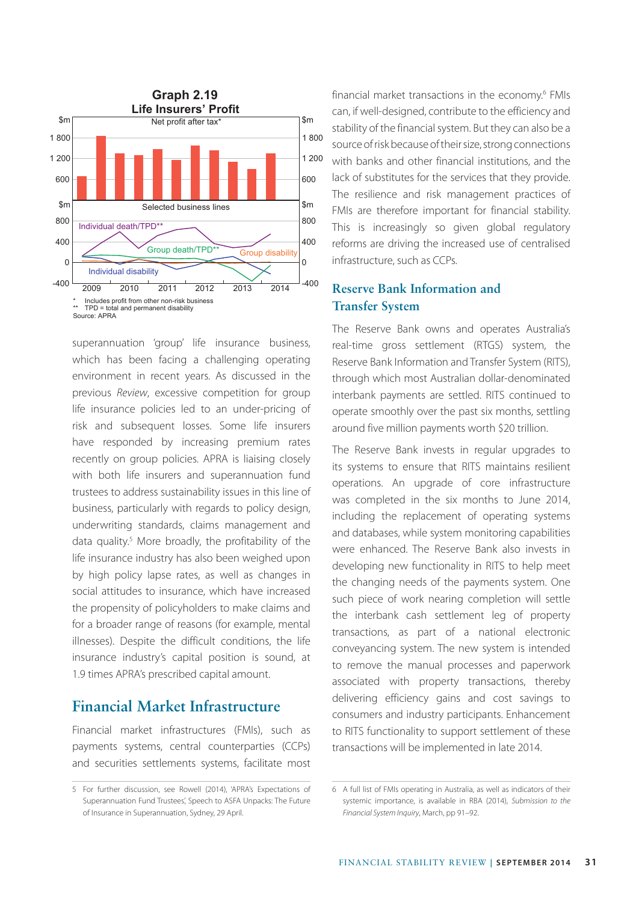

superannuation 'group' life insurance business, which has been facing a challenging operating environment in recent years. As discussed in the previous *Review*, excessive competition for group life insurance policies led to an under-pricing of risk and subsequent losses. Some life insurers have responded by increasing premium rates recently on group policies. APRA is liaising closely with both life insurers and superannuation fund trustees to address sustainability issues in this line of business, particularly with regards to policy design, underwriting standards, claims management and data quality.<sup>5</sup> More broadly, the profitability of the life insurance industry has also been weighed upon by high policy lapse rates, as well as changes in social attitudes to insurance, which have increased the propensity of policyholders to make claims and for a broader range of reasons (for example, mental illnesses). Despite the difficult conditions, the life insurance industry's capital position is sound, at 1.9 times APRA's prescribed capital amount.

# **Financial Market Infrastructure**

Financial market infrastructures (FMIs), such as payments systems, central counterparties (CCPs) and securities settlements systems, facilitate most

**Graph 2.19 financial market transactions in the economy.**<sup>6</sup> FMIs can, if well-designed, contribute to the efficiency and stability of the financial system. But they can also be a source of risk because of their size, strong connections with banks and other financial institutions, and the lack of substitutes for the services that they provide. The resilience and risk management practices of FMIs are therefore important for financial stability. This is increasingly so given global regulatory reforms are driving the increased use of centralised infrastructure, such as CCPs.

### **Reserve Bank Information and Transfer System**

The Reserve Bank owns and operates Australia's real-time gross settlement (RTGS) system, the Reserve Bank Information and Transfer System (RITS), through which most Australian dollar-denominated interbank payments are settled. RITS continued to operate smoothly over the past six months, settling around five million payments worth \$20 trillion.

The Reserve Bank invests in regular upgrades to its systems to ensure that RITS maintains resilient operations. An upgrade of core infrastructure was completed in the six months to June 2014, including the replacement of operating systems and databases, while system monitoring capabilities were enhanced. The Reserve Bank also invests in developing new functionality in RITS to help meet the changing needs of the payments system. One such piece of work nearing completion will settle the interbank cash settlement leg of property transactions, as part of a national electronic conveyancing system. The new system is intended to remove the manual processes and paperwork associated with property transactions, thereby delivering efficiency gains and cost savings to consumers and industry participants. Enhancement to RITS functionality to support settlement of these transactions will be implemented in late 2014.

<sup>5</sup> For further discussion, see Rowell (2014), 'APRA's Expectations of Superannuation Fund Trustees', Speech to ASFA Unpacks: The Future of Insurance in Superannuation, Sydney, 29 April.

<sup>6</sup> A full list of FMIs operating in Australia, as well as indicators of their systemic importance, is available in RBA (2014), *Submission to the Financial System Inquiry*, March, pp 91–92.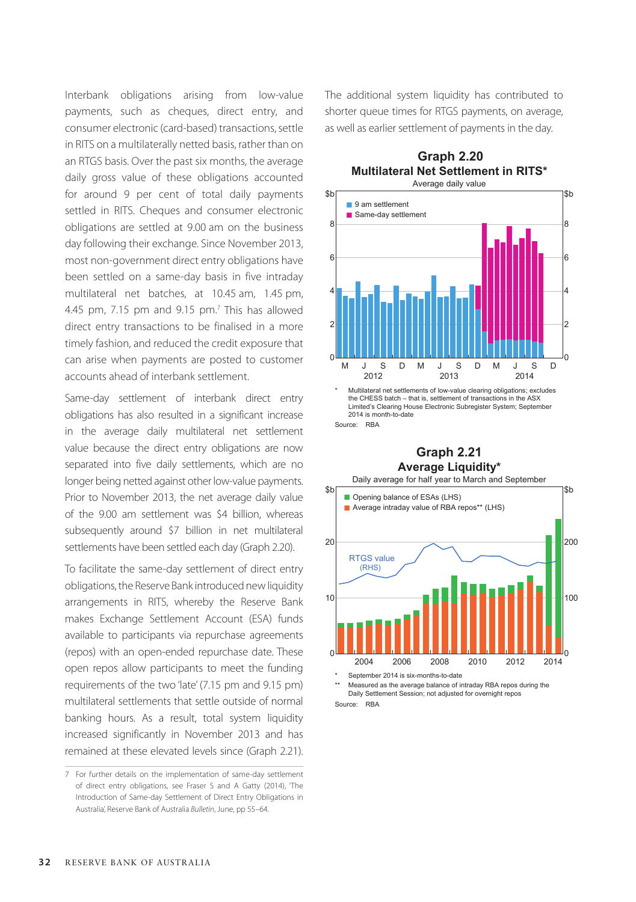Interbank obligations arising from low-value payments, such as cheques, direct entry, and consumer electronic (card-based) transactions, settle in RITS on a multilaterally netted basis, rather than on an RTGS basis. Over the past six months, the average daily gross value of these obligations accounted for around 9 per cent of total daily payments settled in RITS. Cheques and consumer electronic obligations are settled at 9.00 am on the business day following their exchange. Since November 2013, most non-government direct entry obligations have been settled on a same-day basis in five intraday multilateral net batches, at 10.45 am, 1.45 pm, 4.45 pm, 7.15 pm and  $9.15$  pm.<sup>7</sup> This has allowed direct entry transactions to be finalised in a more timely fashion, and reduced the credit exposure that can arise when payments are posted to customer accounts ahead of interbank settlement.

Same-day settlement of interbank direct entry obligations has also resulted in a significant increase in the average daily multilateral net settlement value because the direct entry obligations are now separated into five daily settlements, which are no longer being netted against other low-value payments. Prior to November 2013, the net average daily value of the 9.00 am settlement was \$4 billion, whereas subsequently around \$7 billion in net multilateral settlements have been settled each day (Graph 2.20).

To facilitate the same-day settlement of direct entry obligations, the Reserve Bank introduced new liquidity arrangements in RITS, whereby the Reserve Bank makes Exchange Settlement Account (ESA) funds available to participants via repurchase agreements (repos) with an open-ended repurchase date. These open repos allow participants to meet the funding requirements of the two 'late' (7.15 pm and 9.15 pm) multilateral settlements that settle outside of normal banking hours. As a result, total system liquidity increased significantly in November 2013 and has remained at these elevated levels since (Graph 2.21). The additional system liquidity has contributed to shorter queue times for RTGS payments, on average, as well as earlier settlement of payments in the day.





Multilateral net settlements of low-value clearing obligations; excludes the CHESS batch – that is, settlement of transactions in the ASX Limited's Clearing House Electronic Subregister System; September 2014 is month-to-date Source: RBA

#### **Average Liquidity\* Graph 2.21**



Measured as the average balance of intraday RBA repos during the Daily Settlement Session; not adjusted for overnight repos Source: RBA

<sup>7</sup> For further details on the implementation of same-day settlement of direct entry obligations, see Fraser S and A Gatty (2014), 'The Introduction of Same-day Settlement of Direct Entry Obligations in Australia', Reserve Bank of Australia *Bulletin*, June, pp 55–64.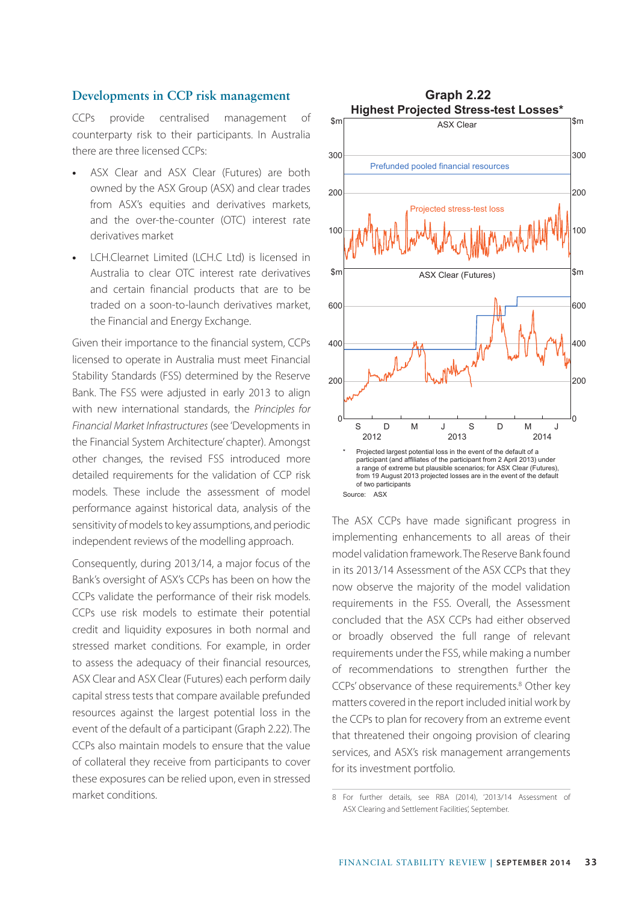#### **Developments in CCP risk management**

CCPs provide centralised management of counterparty risk to their participants. In Australia there are three licensed CCPs:

- **•** ASX Clear and ASX Clear (Futures) are both owned by the ASX Group (ASX) and clear trades from ASX's equities and derivatives markets, and the over-the-counter (OTC) interest rate derivatives market
- **•** LCH.Clearnet Limited (LCH.C Ltd) is licensed in Australia to clear OTC interest rate derivatives and certain financial products that are to be traded on a soon-to-launch derivatives market, the Financial and Energy Exchange.

Given their importance to the financial system, CCPs licensed to operate in Australia must meet Financial Stability Standards (FSS) determined by the Reserve Bank. The FSS were adjusted in early 2013 to align with new international standards, the *Principles for Financial Market Infrastructures* (see 'Developments in the Financial System Architecture' chapter). Amongst other changes, the revised FSS introduced more detailed requirements for the validation of CCP risk models. These include the assessment of model performance against historical data, analysis of the sensitivity of models to key assumptions, and periodic independent reviews of the modelling approach.

Consequently, during 2013/14, a major focus of the Bank's oversight of ASX's CCPs has been on how the CCPs validate the performance of their risk models. CCPs use risk models to estimate their potential credit and liquidity exposures in both normal and stressed market conditions. For example, in order to assess the adequacy of their financial resources, ASX Clear and ASX Clear (Futures) each perform daily capital stress tests that compare available prefunded resources against the largest potential loss in the event of the default of a participant (Graph 2.22). The CCPs also maintain models to ensure that the value of collateral they receive from participants to cover these exposures can be relied upon, even in stressed market conditions.



The ASX CCPs have made significant progress in implementing enhancements to all areas of their model validation framework. The Reserve Bank found in its 2013/14 Assessment of the ASX CCPs that they now observe the majority of the model validation requirements in the FSS. Overall, the Assessment concluded that the ASX CCPs had either observed or broadly observed the full range of relevant requirements under the FSS, while making a number of recommendations to strengthen further the CCPs' observance of these requirements.<sup>8</sup> Other key matters covered in the report included initial work by the CCPs to plan for recovery from an extreme event that threatened their ongoing provision of clearing services, and ASX's risk management arrangements for its investment portfolio.

<sup>8</sup> For further details, see RBA (2014), '2013/14 Assessment of ASX Clearing and Settlement Facilities', September.